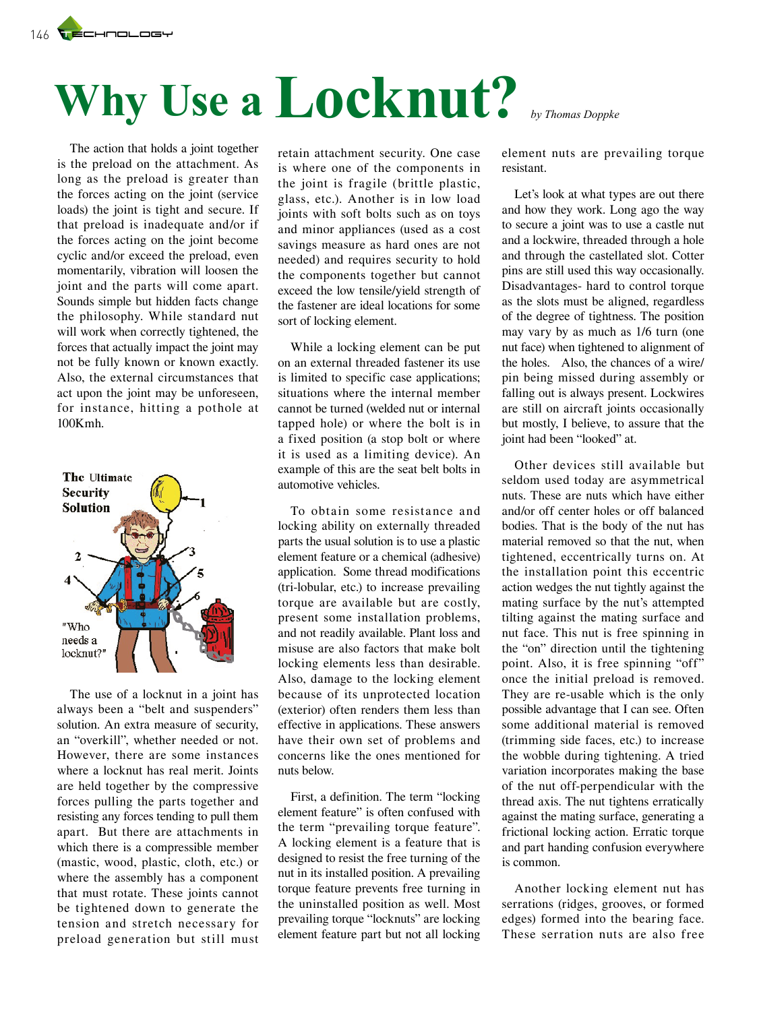# **Why Use a Locknut?** *by Thomas Doppke*

The action that holds a joint together is the preload on the attachment. As long as the preload is greater than the forces acting on the joint (service loads) the joint is tight and secure. If that preload is inadequate and/or if the forces acting on the joint become cyclic and/or exceed the preload, even momentarily, vibration will loosen the joint and the parts will come apart. Sounds simple but hidden facts change the philosophy. While standard nut will work when correctly tightened, the forces that actually impact the joint may not be fully known or known exactly. Also, the external circumstances that act upon the joint may be unforeseen, for instance, hitting a pothole at 100Kmh.



The use of a locknut in a joint has always been a "belt and suspenders" solution. An extra measure of security, an "overkill", whether needed or not. However, there are some instances where a locknut has real merit. Joints are held together by the compressive forces pulling the parts together and resisting any forces tending to pull them apart. But there are attachments in which there is a compressible member (mastic, wood, plastic, cloth, etc.) or where the assembly has a component that must rotate. These joints cannot be tightened down to generate the tension and stretch necessary for preload generation but still must

retain attachment security. One case is where one of the components in the joint is fragile (brittle plastic, glass, etc.). Another is in low load joints with soft bolts such as on toys and minor appliances (used as a cost savings measure as hard ones are not needed) and requires security to hold the components together but cannot exceed the low tensile/yield strength of the fastener are ideal locations for some sort of locking element.

While a locking element can be put on an external threaded fastener its use is limited to specific case applications; situations where the internal member cannot be turned (welded nut or internal tapped hole) or where the bolt is in a fixed position (a stop bolt or where it is used as a limiting device). An example of this are the seat belt bolts in automotive vehicles.

To obtain some resistance and locking ability on externally threaded parts the usual solution is to use a plastic element feature or a chemical (adhesive) application. Some thread modifications (tri-lobular, etc.) to increase prevailing torque are available but are costly, present some installation problems, and not readily available. Plant loss and misuse are also factors that make bolt locking elements less than desirable. Also, damage to the locking element because of its unprotected location (exterior) often renders them less than effective in applications. These answers have their own set of problems and concerns like the ones mentioned for nuts below.

First, a definition. The term "locking element feature" is often confused with the term "prevailing torque feature". A locking element is a feature that is designed to resist the free turning of the nut in its installed position. A prevailing torque feature prevents free turning in the uninstalled position as well. Most prevailing torque "locknuts" are locking element feature part but not all locking element nuts are prevailing torque resistant.

Let's look at what types are out there and how they work. Long ago the way to secure a joint was to use a castle nut and a lockwire, threaded through a hole and through the castellated slot. Cotter pins are still used this way occasionally. Disadvantages- hard to control torque as the slots must be aligned, regardless of the degree of tightness. The position may vary by as much as 1/6 turn (one nut face) when tightened to alignment of the holes. Also, the chances of a wire/ pin being missed during assembly or falling out is always present. Lockwires are still on aircraft joints occasionally but mostly, I believe, to assure that the joint had been "looked" at.

Other devices still available but seldom used today are asymmetrical nuts. These are nuts which have either and/or off center holes or off balanced bodies. That is the body of the nut has material removed so that the nut, when tightened, eccentrically turns on. At the installation point this eccentric action wedges the nut tightly against the mating surface by the nut's attempted tilting against the mating surface and nut face. This nut is free spinning in the "on" direction until the tightening point. Also, it is free spinning "off" once the initial preload is removed. They are re-usable which is the only possible advantage that I can see. Often some additional material is removed (trimming side faces, etc.) to increase the wobble during tightening. A tried variation incorporates making the base of the nut off-perpendicular with the thread axis. The nut tightens erratically against the mating surface, generating a frictional locking action. Erratic torque and part handing confusion everywhere is common.

Another locking element nut has serrations (ridges, grooves, or formed edges) formed into the bearing face. These serration nuts are also free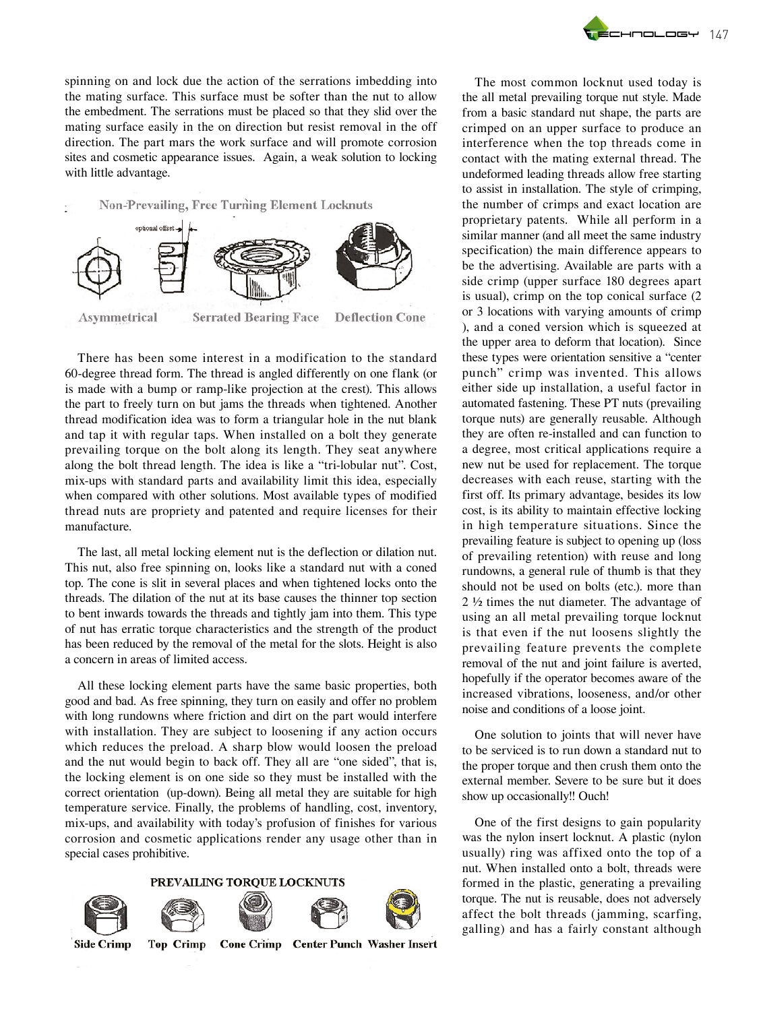spinning on and lock due the action of the serrations imbedding into the mating surface. This surface must be softer than the nut to allow the embedment. The serrations must be placed so that they slid over the mating surface easily in the on direction but resist removal in the off direction. The part mars the work surface and will promote corrosion sites and cosmetic appearance issues. Again, a weak solution to locking with little advantage.



There has been some interest in a modification to the standard 60-degree thread form. The thread is angled differently on one flank (or is made with a bump or ramp-like projection at the crest). This allows the part to freely turn on but jams the threads when tightened. Another thread modification idea was to form a triangular hole in the nut blank and tap it with regular taps. When installed on a bolt they generate prevailing torque on the bolt along its length. They seat anywhere along the bolt thread length. The idea is like a "tri-lobular nut". Cost, mix-ups with standard parts and availability limit this idea, especially when compared with other solutions. Most available types of modified thread nuts are propriety and patented and require licenses for their manufacture.

The last, all metal locking element nut is the deflection or dilation nut. This nut, also free spinning on, looks like a standard nut with a coned top. The cone is slit in several places and when tightened locks onto the threads. The dilation of the nut at its base causes the thinner top section to bent inwards towards the threads and tightly jam into them. This type of nut has erratic torque characteristics and the strength of the product has been reduced by the removal of the metal for the slots. Height is also a concern in areas of limited access.

All these locking element parts have the same basic properties, both good and bad. As free spinning, they turn on easily and offer no problem with long rundowns where friction and dirt on the part would interfere with installation. They are subject to loosening if any action occurs which reduces the preload. A sharp blow would loosen the preload and the nut would begin to back off. They all are "one sided", that is, the locking element is on one side so they must be installed with the correct orientation (up-down). Being all metal they are suitable for high temperature service. Finally, the problems of handling, cost, inventory, mix-ups, and availability with today's profusion of finishes for various corrosion and cosmetic applications render any usage other than in special cases prohibitive.

### PREVAILING TORQUE LOCKNUTS









**Side Crimp** 

**Top Crimp** 

Cone Crimp Center Punch Washer Insert

The most common locknut used today is the all metal prevailing torque nut style. Made from a basic standard nut shape, the parts are crimped on an upper surface to produce an interference when the top threads come in contact with the mating external thread. The undeformed leading threads allow free starting to assist in installation. The style of crimping, the number of crimps and exact location are proprietary patents. While all perform in a similar manner (and all meet the same industry specification) the main difference appears to be the advertising. Available are parts with a side crimp (upper surface 180 degrees apart is usual), crimp on the top conical surface (2 or 3 locations with varying amounts of crimp ), and a coned version which is squeezed at the upper area to deform that location). Since these types were orientation sensitive a "center punch" crimp was invented. This allows either side up installation, a useful factor in automated fastening. These PT nuts (prevailing torque nuts) are generally reusable. Although they are often re-installed and can function to a degree, most critical applications require a new nut be used for replacement. The torque decreases with each reuse, starting with the first off. Its primary advantage, besides its low cost, is its ability to maintain effective locking in high temperature situations. Since the prevailing feature is subject to opening up (loss of prevailing retention) with reuse and long rundowns, a general rule of thumb is that they should not be used on bolts (etc.). more than 2 ½ times the nut diameter. The advantage of using an all metal prevailing torque locknut is that even if the nut loosens slightly the prevailing feature prevents the complete removal of the nut and joint failure is averted, hopefully if the operator becomes aware of the increased vibrations, looseness, and/or other noise and conditions of a loose joint.

One solution to joints that will never have to be serviced is to run down a standard nut to the proper torque and then crush them onto the external member. Severe to be sure but it does show up occasionally!! Ouch!

One of the first designs to gain popularity was the nylon insert locknut. A plastic (nylon usually) ring was affixed onto the top of a nut. When installed onto a bolt, threads were formed in the plastic, generating a prevailing torque. The nut is reusable, does not adversely affect the bolt threads (jamming, scarfing, galling) and has a fairly constant although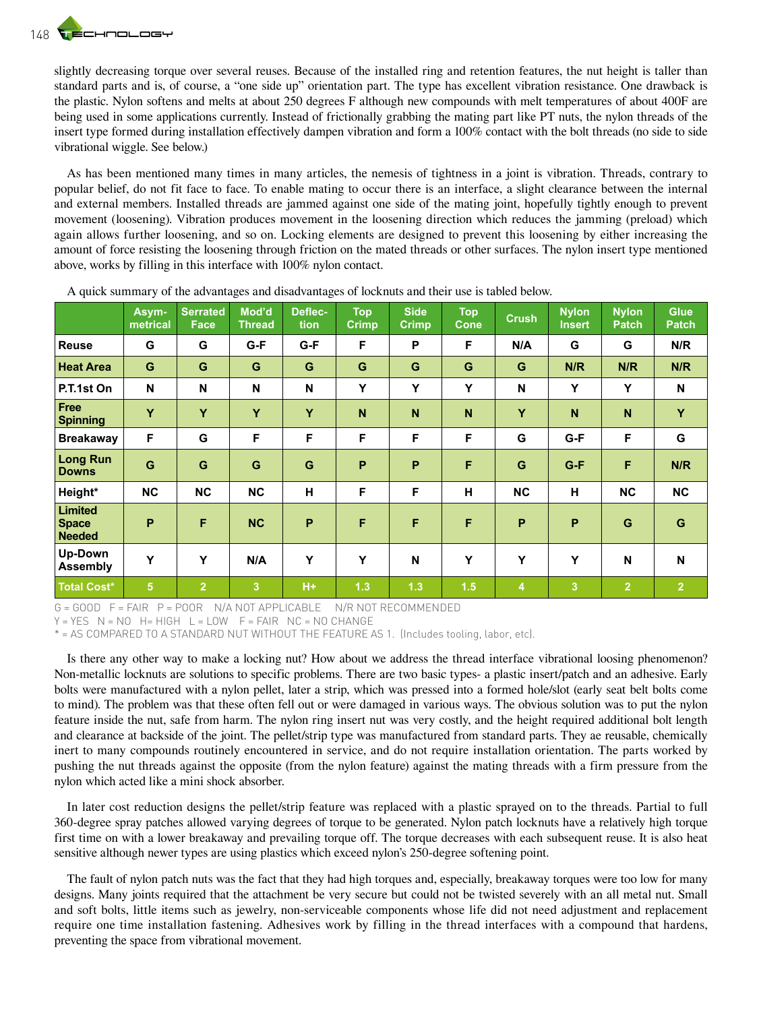slightly decreasing torque over several reuses. Because of the installed ring and retention features, the nut height is taller than standard parts and is, of course, a "one side up" orientation part. The type has excellent vibration resistance. One drawback is the plastic. Nylon softens and melts at about 250 degrees F although new compounds with melt temperatures of about 400F are being used in some applications currently. Instead of frictionally grabbing the mating part like PT nuts, the nylon threads of the insert type formed during installation effectively dampen vibration and form a 100% contact with the bolt threads (no side to side vibrational wiggle. See below.)

As has been mentioned many times in many articles, the nemesis of tightness in a joint is vibration. Threads, contrary to popular belief, do not fit face to face. To enable mating to occur there is an interface, a slight clearance between the internal and external members. Installed threads are jammed against one side of the mating joint, hopefully tightly enough to prevent movement (loosening). Vibration produces movement in the loosening direction which reduces the jamming (preload) which again allows further loosening, and so on. Locking elements are designed to prevent this loosening by either increasing the amount of force resisting the loosening through friction on the mated threads or other surfaces. The nylon insert type mentioned above, works by filling in this interface with 100% nylon contact.

|                                                 | Asym-<br>metrical | <b>Serrated</b><br><b>Face</b> | Mod'd<br><b>Thread</b> | Deflec-<br>tion | <b>Top</b><br>Crimp | <b>Side</b><br>Crimp | <b>Top</b><br><b>Cone</b> | <b>Crush</b>            | <b>Nylon</b><br>Insert | <b>Nylon</b><br><b>Patch</b> | <b>Glue</b><br><b>Patch</b> |
|-------------------------------------------------|-------------------|--------------------------------|------------------------|-----------------|---------------------|----------------------|---------------------------|-------------------------|------------------------|------------------------------|-----------------------------|
| <b>Reuse</b>                                    | G                 | G                              | G-F                    | G-F             | F                   | P                    | F                         | N/A                     | G                      | G                            | N/R                         |
| <b>Heat Area</b>                                | G                 | G                              | G                      | G               | G                   | G                    | G                         | G                       | N/R                    | N/R                          | N/R                         |
| P.T.1st On                                      | N                 | N                              | N                      | N               | Y                   | Y                    | Y                         | N                       | Y                      | Y                            | N                           |
| Free<br><b>Spinning</b>                         | Y                 | Y                              | Y                      | Y               | $\mathsf{N}$        | $\mathbf N$          | N                         | Y                       | N                      | N                            | Y                           |
| <b>Breakaway</b>                                | F                 | G                              | F                      | F               | F                   | F                    | F                         | G                       | G-F                    | F                            | G                           |
| <b>Long Run</b><br><b>Downs</b>                 | G                 | G                              | G                      | G               | P                   | P                    | F                         | G                       | $G-F$                  | F                            | N/R                         |
| Height*                                         | <b>NC</b>         | NC                             | <b>NC</b>              | H               | F                   | F                    | H                         | NC                      | н                      | NC                           | NC                          |
| <b>Limited</b><br><b>Space</b><br><b>Needed</b> | P                 | F                              | <b>NC</b>              | P               | F                   | F                    | F                         | P                       | P                      | G                            | G                           |
| Up-Down<br><b>Assembly</b>                      | Y                 | Y                              | N/A                    | Υ               | Y                   | $\mathbf N$          | Y                         | Y                       | Y                      | N                            | $\mathbf N$                 |
| <b>Total Cost*</b>                              | $5\phantom{.}$    | $\overline{2}$                 | 3                      | $H +$           | 1.3                 | 1.3                  | 1.5                       | $\overline{\mathbf{4}}$ | 3                      | $\overline{2}$               | $\overline{2}$              |

A quick summary of the advantages and disadvantages of locknuts and their use is tabled below.

G = GOOD F = FAIR P = POOR N/A NOT APPLICABLE N/R NOT RECOMMENDED

 $Y = YES$  N = NO H= HIGH L = LOW F = FAIR NC = NO CHANGE

\* = AS COMPARED TO A STANDARD NUT WITHOUT THE FEATURE AS 1. (Includes tooling, labor, etc).

Is there any other way to make a locking nut? How about we address the thread interface vibrational loosing phenomenon? Non-metallic locknuts are solutions to specific problems. There are two basic types- a plastic insert/patch and an adhesive. Early bolts were manufactured with a nylon pellet, later a strip, which was pressed into a formed hole/slot (early seat belt bolts come to mind). The problem was that these often fell out or were damaged in various ways. The obvious solution was to put the nylon feature inside the nut, safe from harm. The nylon ring insert nut was very costly, and the height required additional bolt length and clearance at backside of the joint. The pellet/strip type was manufactured from standard parts. They ae reusable, chemically inert to many compounds routinely encountered in service, and do not require installation orientation. The parts worked by pushing the nut threads against the opposite (from the nylon feature) against the mating threads with a firm pressure from the nylon which acted like a mini shock absorber.

In later cost reduction designs the pellet/strip feature was replaced with a plastic sprayed on to the threads. Partial to full 360-degree spray patches allowed varying degrees of torque to be generated. Nylon patch locknuts have a relatively high torque first time on with a lower breakaway and prevailing torque off. The torque decreases with each subsequent reuse. It is also heat sensitive although newer types are using plastics which exceed nylon's 250-degree softening point.

The fault of nylon patch nuts was the fact that they had high torques and, especially, breakaway torques were too low for many designs. Many joints required that the attachment be very secure but could not be twisted severely with an all metal nut. Small and soft bolts, little items such as jewelry, non-serviceable components whose life did not need adjustment and replacement require one time installation fastening. Adhesives work by filling in the thread interfaces with a compound that hardens, preventing the space from vibrational movement.